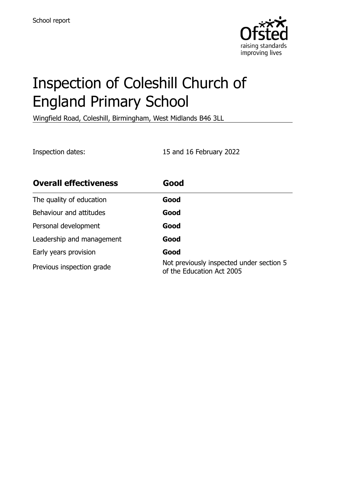

# Inspection of Coleshill Church of England Primary School

Wingfield Road, Coleshill, Birmingham, West Midlands B46 3LL

Inspection dates: 15 and 16 February 2022

| <b>Overall effectiveness</b> | Good                                                                  |
|------------------------------|-----------------------------------------------------------------------|
| The quality of education     | Good                                                                  |
| Behaviour and attitudes      | Good                                                                  |
| Personal development         | Good                                                                  |
| Leadership and management    | Good                                                                  |
| Early years provision        | Good                                                                  |
| Previous inspection grade    | Not previously inspected under section 5<br>of the Education Act 2005 |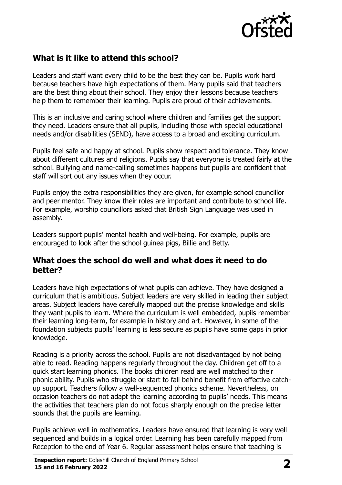

# **What is it like to attend this school?**

Leaders and staff want every child to be the best they can be. Pupils work hard because teachers have high expectations of them. Many pupils said that teachers are the best thing about their school. They enjoy their lessons because teachers help them to remember their learning. Pupils are proud of their achievements.

This is an inclusive and caring school where children and families get the support they need. Leaders ensure that all pupils, including those with special educational needs and/or disabilities (SEND), have access to a broad and exciting curriculum.

Pupils feel safe and happy at school. Pupils show respect and tolerance. They know about different cultures and religions. Pupils say that everyone is treated fairly at the school. Bullying and name-calling sometimes happens but pupils are confident that staff will sort out any issues when they occur.

Pupils enjoy the extra responsibilities they are given, for example school councillor and peer mentor. They know their roles are important and contribute to school life. For example, worship councillors asked that British Sign Language was used in assembly.

Leaders support pupils' mental health and well-being. For example, pupils are encouraged to look after the school guinea pigs, Billie and Betty.

#### **What does the school do well and what does it need to do better?**

Leaders have high expectations of what pupils can achieve. They have designed a curriculum that is ambitious. Subject leaders are very skilled in leading their subject areas. Subject leaders have carefully mapped out the precise knowledge and skills they want pupils to learn. Where the curriculum is well embedded, pupils remember their learning long-term, for example in history and art. However, in some of the foundation subjects pupils' learning is less secure as pupils have some gaps in prior knowledge.

Reading is a priority across the school. Pupils are not disadvantaged by not being able to read. Reading happens regularly throughout the day. Children get off to a quick start learning phonics. The books children read are well matched to their phonic ability. Pupils who struggle or start to fall behind benefit from effective catchup support. Teachers follow a well-sequenced phonics scheme. Nevertheless, on occasion teachers do not adapt the learning according to pupils' needs. This means the activities that teachers plan do not focus sharply enough on the precise letter sounds that the pupils are learning.

Pupils achieve well in mathematics. Leaders have ensured that learning is very well sequenced and builds in a logical order. Learning has been carefully mapped from Reception to the end of Year 6. Regular assessment helps ensure that teaching is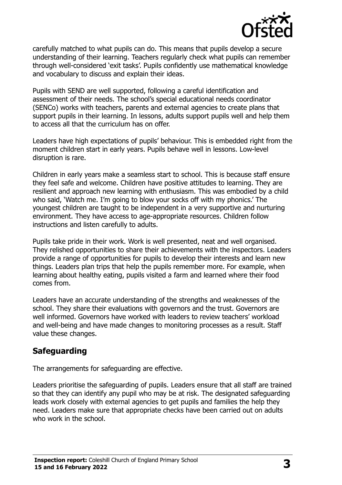

carefully matched to what pupils can do. This means that pupils develop a secure understanding of their learning. Teachers regularly check what pupils can remember through well-considered 'exit tasks'. Pupils confidently use mathematical knowledge and vocabulary to discuss and explain their ideas.

Pupils with SEND are well supported, following a careful identification and assessment of their needs. The school's special educational needs coordinator (SENCo) works with teachers, parents and external agencies to create plans that support pupils in their learning. In lessons, adults support pupils well and help them to access all that the curriculum has on offer.

Leaders have high expectations of pupils' behaviour. This is embedded right from the moment children start in early years. Pupils behave well in lessons. Low-level disruption is rare.

Children in early years make a seamless start to school. This is because staff ensure they feel safe and welcome. Children have positive attitudes to learning. They are resilient and approach new learning with enthusiasm. This was embodied by a child who said, 'Watch me. I'm going to blow your socks off with my phonics.' The youngest children are taught to be independent in a very supportive and nurturing environment. They have access to age-appropriate resources. Children follow instructions and listen carefully to adults.

Pupils take pride in their work. Work is well presented, neat and well organised. They relished opportunities to share their achievements with the inspectors. Leaders provide a range of opportunities for pupils to develop their interests and learn new things. Leaders plan trips that help the pupils remember more. For example, when learning about healthy eating, pupils visited a farm and learned where their food comes from.

Leaders have an accurate understanding of the strengths and weaknesses of the school. They share their evaluations with governors and the trust. Governors are well informed. Governors have worked with leaders to review teachers' workload and well-being and have made changes to monitoring processes as a result. Staff value these changes.

# **Safeguarding**

The arrangements for safeguarding are effective.

Leaders prioritise the safeguarding of pupils. Leaders ensure that all staff are trained so that they can identify any pupil who may be at risk. The designated safeguarding leads work closely with external agencies to get pupils and families the help they need. Leaders make sure that appropriate checks have been carried out on adults who work in the school.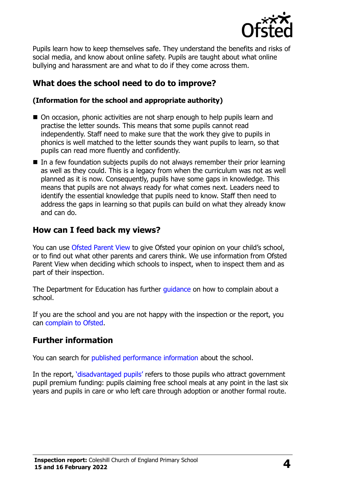

Pupils learn how to keep themselves safe. They understand the benefits and risks of social media, and know about online safety. Pupils are taught about what online bullying and harassment are and what to do if they come across them.

# **What does the school need to do to improve?**

#### **(Information for the school and appropriate authority)**

- On occasion, phonic activities are not sharp enough to help pupils learn and practise the letter sounds. This means that some pupils cannot read independently. Staff need to make sure that the work they give to pupils in phonics is well matched to the letter sounds they want pupils to learn, so that pupils can read more fluently and confidently.
- In a few foundation subjects pupils do not always remember their prior learning as well as they could. This is a legacy from when the curriculum was not as well planned as it is now. Consequently, pupils have some gaps in knowledge. This means that pupils are not always ready for what comes next. Leaders need to identify the essential knowledge that pupils need to know. Staff then need to address the gaps in learning so that pupils can build on what they already know and can do.

# **How can I feed back my views?**

You can use [Ofsted Parent View](http://parentview.ofsted.gov.uk/) to give Ofsted your opinion on your child's school, or to find out what other parents and carers think. We use information from Ofsted Parent View when deciding which schools to inspect, when to inspect them and as part of their inspection.

The Department for Education has further quidance on how to complain about a school.

If you are the school and you are not happy with the inspection or the report, you can [complain to Ofsted.](http://www.gov.uk/complain-ofsted-report)

# **Further information**

You can search for [published performance information](http://www.compare-school-performance.service.gov.uk/) about the school.

In the report, '[disadvantaged pupils](http://www.gov.uk/guidance/pupil-premium-information-for-schools-and-alternative-provision-settings)' refers to those pupils who attract government pupil premium funding: pupils claiming free school meals at any point in the last six years and pupils in care or who left care through adoption or another formal route.

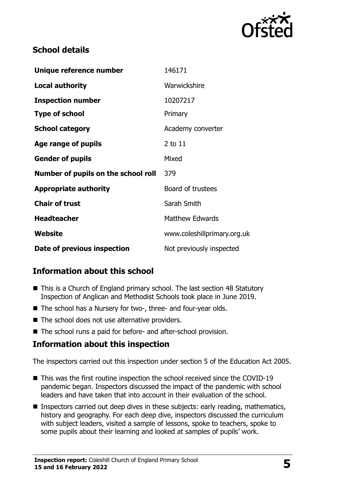

## **School details**

| Unique reference number             | 146171                      |
|-------------------------------------|-----------------------------|
| <b>Local authority</b>              | Warwickshire                |
| <b>Inspection number</b>            | 10207217                    |
| <b>Type of school</b>               | Primary                     |
| <b>School category</b>              | Academy converter           |
| Age range of pupils                 | 2 to 11                     |
| <b>Gender of pupils</b>             | Mixed                       |
| Number of pupils on the school roll | 379                         |
| <b>Appropriate authority</b>        | Board of trustees           |
| <b>Chair of trust</b>               | Sarah Smith                 |
| <b>Headteacher</b>                  | <b>Matthew Edwards</b>      |
| Website                             | www.coleshillprimary.org.uk |
| Date of previous inspection         | Not previously inspected    |

# **Information about this school**

- This is a Church of England primary school. The last section 48 Statutory Inspection of Anglican and Methodist Schools took place in June 2019.
- The school has a Nursery for two-, three- and four-year olds.
- The school does not use alternative providers.
- The school runs a paid for before- and after-school provision.

#### **Information about this inspection**

The inspectors carried out this inspection under section 5 of the Education Act 2005.

- This was the first routine inspection the school received since the COVID-19 pandemic began. Inspectors discussed the impact of the pandemic with school leaders and have taken that into account in their evaluation of the school.
- **Inspectors carried out deep dives in these subjects: early reading, mathematics,** history and geography. For each deep dive, inspectors discussed the curriculum with subject leaders, visited a sample of lessons, spoke to teachers, spoke to some pupils about their learning and looked at samples of pupils' work.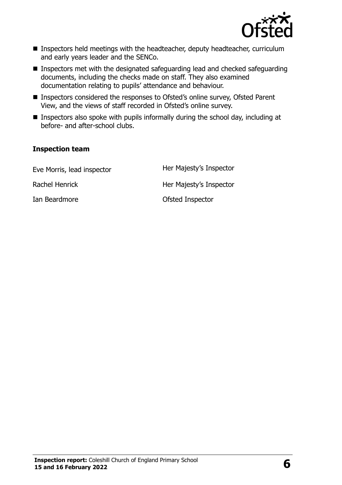

- Inspectors held meetings with the headteacher, deputy headteacher, curriculum and early years leader and the SENCo.
- Inspectors met with the designated safeguarding lead and checked safeguarding documents, including the checks made on staff. They also examined documentation relating to pupils' attendance and behaviour.
- Inspectors considered the responses to Ofsted's online survey, Ofsted Parent View, and the views of staff recorded in Ofsted's online survey.
- **Inspectors also spoke with pupils informally during the school day, including at** before- and after-school clubs.

#### **Inspection team**

| Eve Morris, lead inspector | Her Majesty's Inspector |
|----------------------------|-------------------------|
| Rachel Henrick             | Her Majesty's Inspector |
| Ian Beardmore              | Ofsted Inspector        |